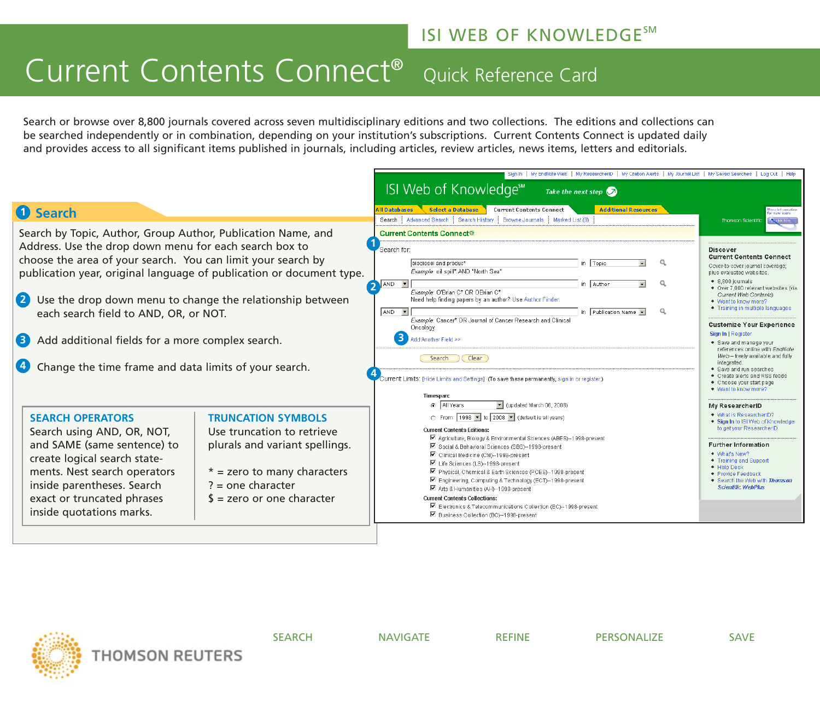### **ISI WEB OF KNOWLEDGESM**

## Current Contents Connect® Quick Reference Card

Search or browse over 8,800 journals covered across seven multidisciplinary editions and two collections. The editions and collections can be searched independently or in combination, depending on your institution's subscriptions. Current Contents Connect is updated daily and provides access to all significant items published in journals, including articles, review articles, news items, letters and editorials.

|                                                                                                                                                                                                                                                                                                                                                                                                                                                                                                             |                                                                                                                                                                                            | Sign In   My EndNote Web   My ResearcherID   My Citation Alerts   My Journal List   My Saved Searches   Log Out   Help                                                                                                                                                                                                                                                                                                                                                                                                                                                                                                                                                           |                                                                                                                                                                                                                                                                                                                                                                                                                                                                                                                                                          |  |  |  |
|-------------------------------------------------------------------------------------------------------------------------------------------------------------------------------------------------------------------------------------------------------------------------------------------------------------------------------------------------------------------------------------------------------------------------------------------------------------------------------------------------------------|--------------------------------------------------------------------------------------------------------------------------------------------------------------------------------------------|----------------------------------------------------------------------------------------------------------------------------------------------------------------------------------------------------------------------------------------------------------------------------------------------------------------------------------------------------------------------------------------------------------------------------------------------------------------------------------------------------------------------------------------------------------------------------------------------------------------------------------------------------------------------------------|----------------------------------------------------------------------------------------------------------------------------------------------------------------------------------------------------------------------------------------------------------------------------------------------------------------------------------------------------------------------------------------------------------------------------------------------------------------------------------------------------------------------------------------------------------|--|--|--|
|                                                                                                                                                                                                                                                                                                                                                                                                                                                                                                             |                                                                                                                                                                                            | <b>ISI Web of Knowledge<sup>5™</sup></b><br>Take the next step $\bigcirc$                                                                                                                                                                                                                                                                                                                                                                                                                                                                                                                                                                                                        |                                                                                                                                                                                                                                                                                                                                                                                                                                                                                                                                                          |  |  |  |
| <b>1</b> Search                                                                                                                                                                                                                                                                                                                                                                                                                                                                                             |                                                                                                                                                                                            | <b>Select a Database</b><br><b>Additional Resources</b><br><b>All Databases</b><br><b>Current Contents Connect</b><br>Search   Advanced Search   Search History   Browse Journals   Marked List (0)                                                                                                                                                                                                                                                                                                                                                                                                                                                                              | <b>Aura information</b><br>or now users<br>Thomson Scientific<br><b>Note Ford</b>                                                                                                                                                                                                                                                                                                                                                                                                                                                                        |  |  |  |
| Search by Topic, Author, Group Author, Publication Name, and<br>Address. Use the drop down menu for each search box to<br>choose the area of your search. You can limit your search by<br>publication year, original language of publication or document type.<br>2<br>$\mathbf{Z}$<br>Use the drop down menu to change the relationship between<br>each search field to AND, OR, or NOT.<br>Add additional fields for a more complex search.<br>3<br>Change the time frame and data limits of your search. |                                                                                                                                                                                            | <b>Current Contents Connect®</b><br>Search for<br>Q<br>biodiesel and produc*<br>in Topic<br>$\mathbf{v}$<br>Example: oil spill* AND "North Sea"<br>AND -<br>Q<br>in   Author<br>$\vert \cdot \vert$<br>Example: O'Brian C* OR OBrian C*<br>Need help finding papers by an author? Use Author Finder.<br>Q<br>AND -<br>in Publication Name<br>Example: Cancer* OR Journal of Cancer Research and Clinical<br>Oncology<br>3<br>Add Another Field >><br>Clear<br>Search<br>Current Limits: [Hide Limits and Settings] (To save these permanently, sign in or register.)<br><b>Timespan:</b><br>a All Years                                                                          | Discover<br><b>Current Contents Connect</b><br>Cover-to-cover journal coverage:<br>plus evaluated websites.<br>$\bullet$ 8.800 iournals<br>• Over 7,000 relevant websites (via<br>Current Web Contents)<br>• Want to know more?<br>• Training in multiple languages<br><b>Customize Your Experience</b><br>Sign In I Register<br>• Save and manage your<br>references online with EndNote<br>Web-freely available and fully<br>integrated.<br>· Save and run searches<br>Create alerts and RSS feeds<br>• Choose your start page<br>• Want to know more? |  |  |  |
| <b>SEARCH OPERATORS</b><br>Search using AND, OR, NOT,<br>and SAME (same sentence) to<br>create logical search state-<br>ments. Nest search operators<br>inside parentheses. Search<br>exact or truncated phrases<br>inside quotations marks.                                                                                                                                                                                                                                                                | <b>TRUNCATION SYMBOLS</b><br>Use truncation to retrieve<br>plurals and variant spellings.<br>$*$ = zero to many characters<br>$? = one character$<br>$\frac{1}{2}$ = zero or one character | $\blacktriangleright$ (updated March 06, 2008)<br>C From 1998   to 2008   (default is all years)<br><b>Current Contents Editions:</b><br>■ Agriculture, Biology & Environmental Sciences (ABES)--1998-present<br>■ Social & Behavioral Sciences (SBS)--1998-present<br>M Clinical Medicine (CM)--1998-present<br>■ Life Sciences (LS)--1998-present<br>M Physical, Chemical & Earth Sciences (PCES)--1998-present<br>■ Engineering, Computing & Technology (ECT)--1998-present<br>M Arts & Humanities (AH)--1998-present<br><b>Current Contents Collections:</b><br>■ Electronics & Telecommunications Collection (EC)--1998-present<br>M Business Collection (BC)--1998-present | My ResearcherID<br>• What is ResearcherID?<br>◆ Sign In to ISI Web of Knowledge<br>to get your ResearcherID<br><b>Further Information</b><br>• What's New?<br>• Training and Support<br>+ Help Desk<br>• Provide Feedback<br>. Search the Web with Thomson<br><b>Scientific WebPlus</b>                                                                                                                                                                                                                                                                  |  |  |  |



SEARCH NAVIGATE REFINE PERSONALIZE SAVE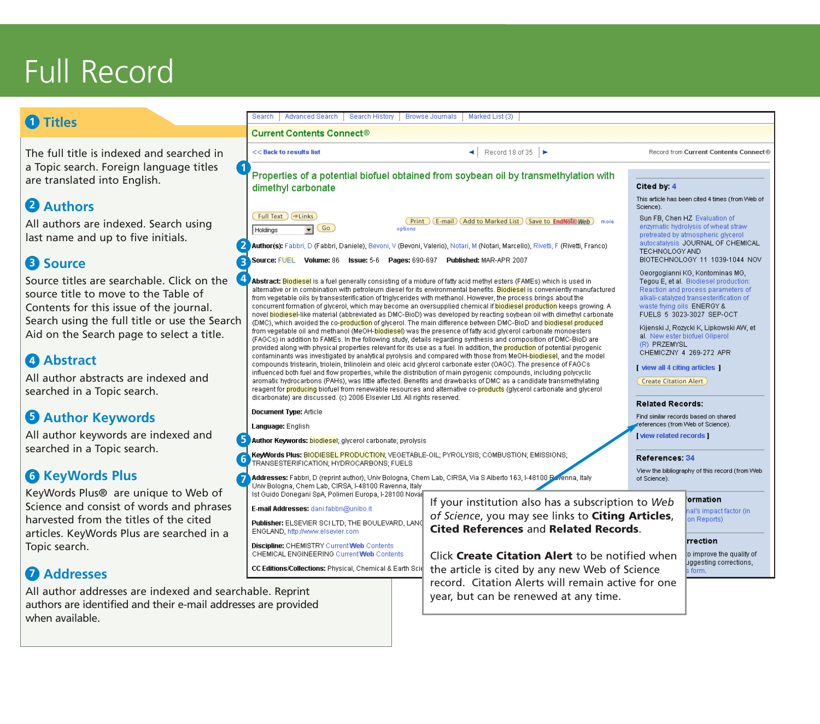# Full Record

### **Titles 1**

The full title is indexed and searched in a Topic search. Foreign language titles are translated into English.

### 2 Authors

All authors are indexed. Search using last name and up to five initials.

### **B** Source

Source titles are searchable. Click on the **4** source title to move to the Table of Contents for this issue of the journal. Search using the full title or use the Search Aid on the Search page to select a title.

### **Abstract 4**

All author abstracts are indexed and searched in a Topic search.

### **Author Keywords 5**

All author keywords are indexed and searched in a Topic search.

### **6** KeyWords Plus

KeyWords Plus® are unique to Web of Science and consist of words and phrases harvested from the titles of the cited articles. KeyWords Plus are searched in a Topic search.

### **Addresses 7**

All author addresses are indexed and searchable. Reprint authors are identified and their e-mail addresses are provided when available.

#### Search | Advanced Search | Search History | Browse Journals | Marked List (3) **Current Contents Connect®**  $\blacktriangleleft$  Record 18 of 35 << Back to results list Record from Current Contents Connect® **1** Properties of a potential biofuel obtained from soybean oil by transmethylation with Cited by: 4 dimethyl carbonate This article has been cited 4 times (from Web of Science) Full Text +Links Sun FB, Chen HZ, Evaluation of **Print** (E-mail) (Add to Marked List) (Save to EndNote) Web more  $\overline{\bullet}$  Go enzymatic hydrolysis of wheat straw Holdinas options pretreated by atmospheric givcerol. autocatalysis JOURNAL OF CHEMICAL Author(s): Fabbri, D (Fabbri, Daniele), Bevoni, V (Bevoni, Valerio), Notari, M (Notari, Marcello), Rivetti, F (Rivetti, Franco) **2** TECHNOLOGY AND Source: FUEL Volume: 86 Issue: 5-6 Pages: 690-697 Published: MAR-APR 2007 BIOTECHNOLOGY 11 1039-1044 NOV **3** Georgogianni KG, Kontominas MG, Abstract: Biodiesel is a fuel generally consisting of a mixture of fatty acid methyl esters (FAMEs) which is used in Tegou E, et al. Biodiesel production: alternative or in combination with petroleum diesel for its environmental benefits. Biodiesel is conveniently manufactured Reaction and process parameters of from vegetable oils by transesterification of triglycerides with methanol. However, the process brings about the alkali-catalyzed transesterification of concurrent formation of glycerol, which may become an oversupplied chemical if biodiesel production keeps growing. A waste fiving oils ENERGY & novel biodiesel-like material (abbreviated as DMC-BioD) was developed by reacting soybean oil with dimethyl carbonate FUELS 5 3023-3027 SEP-OCT (DMC), which avoided the co-production of glycerol. The main difference between DMC-BioD and biodiesel produced Kijenski J, Rozycki K, Lipkowski AW, et from vegetable oil and methanol (MeOH-biodiesel) was the presence of fatty acid glycerol carbonate monoesters al. New ester biofuel Gliperol (FAGCs) in addition to FAMEs. In the following study, details regarding synthesis and composition of DMC-BioD are (R) PRZEMYSL provided along with physical properties relevant for its use as a fuel. In addition, the production of potential pyrogenic CHEMICZNY 4 269-272 APR contaminants was investigated by analytical pyrolysis and compared with those from MeOH-biodiesel, and the model compounds tristearin, triolein, trilinolein and oleic acid glycerol carbonate ester (OAGC). The presence of FAGCs [ view all 4 citing articles ] influenced both fuel and flow properties, while the distribution of main pyrogenic compounds, including polycyclic aromatic hydrocarbons (PAHs), was little affected. Benefits and drawbacks of DMC as a candidate transmethylating Create Citation Alert reagent for producing biofuel from renewable resources and alternative co-products (glycerol carbonate and glycerol dicarbonate) are discussed. (c) 2006 Elsevier Ltd. All rights reserved. **Related Records: Document Type: Article** Find similar records based on shared eferences (from Web of Science). Language: English [view related records] **5** Author Keywords: biodiesel; glycerol carbonate; pyrolysis **KeyWords Plus: <mark>BIODIESEL PRODUCTION</mark>; VEGETABLE-OIL; PYROLYSIS; COMBUSTION; EMISSIONS; 6** References: 34 TRANSESTERIFICATION: HYDROCARBONS; FUELS View the bibliography of this record (from Web Addresses: Fabbri, D (reprint author), Univ Bologna, Chem Lab, CIRSA, Via S Alberto 163, I-48100 Pavenna, Italy **7** of Science). Univ Bologna, Chem Lab, CIRSA, I-48100 Ravenna, Italy Ist Guido Donegani SpA, Polimeri Europa, I-28100 Nova ormation If your institution also has a subscription to *Web* E-mail Addresses: dani.fabbri@unibo.it hal's impact factor (in *of Science*, you may see links to **Citing Articles**, on Reports) Publisher: ELSEVIER SCI LTD, THE BOULEVARD, LAND **Cited References** and **Related Records**. ENGLAND, http://www.elsevier.com rrection Discipline: CHEMISTRY Current Web Contents CHEMICAL ENGINEERING Current Web Contents Click **Create Citation Alert** to be notified when o improve the quality of uggesting corrections. the article is cited by any new Web of Science CC Editions/Collections: Physical, Chemical & Earth Sci form. record. Citation Alerts will remain active for one year, but can be renewed at any time.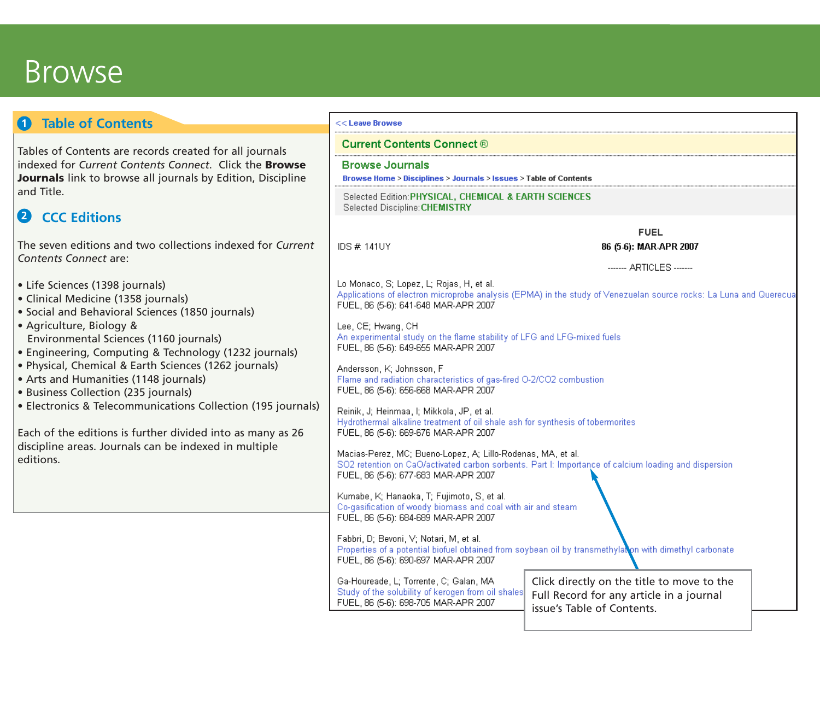## **Browse**

#### **Table of Contents 1** <<Leave Browse **Current Contents Connect ®** Tables of Contents are records created for all journals indexed for *Current Contents Connect*. Click the **Browse Browse Journals Journals** link to browse all journals by Edition, Discipline Browse Home > Disciplines > Journals > Issues > Table of Contents and Title. Selected Edition: PHYSICAL, CHEMICAL & EARTH SCIENCES Selected Discipline: CHEMISTRY **CCC Editions 2 FUEL** The seven editions and two collections indexed for *Current* **IDS # 141UY** 86 (5-6): MAR-APR 2007 *Contents Connect* are: ------- ARTICLES -------Lo Monaco, S; Lopez, L; Rojas, H, et al. • Life Sciences (1398 journals) Applications of electron microprobe analysis (EPMA) in the study of Venezuelan source rocks: La Luna and Querecua • Clinical Medicine (1358 journals) FUEL, 86 (5-6); 641-648 MAR-APR 2007 • Social and Behavioral Sciences (1850 journals) • Agriculture, Biology & Lee, CE: Hwang, CH An experimental study on the flame stability of LFG and LFG-mixed fuels. Environmental Sciences (1160 journals) FUEL, 86 (5-6): 649-655 MAR-APR 2007 • Engineering, Computing & Technology (1232 journals) • Physical, Chemical & Earth Sciences (1262 journals) Andersson, K: Johnsson, F. • Arts and Humanities (1148 journals) Flame and radiation characteristics of gas-fired O-2/CO2 combustion FUEL, 86 (5-6): 656-668 MAR-APR 2007 • Business Collection (235 journals) • Electronics & Telecommunications Collection (195 journals) Reinik, J; Heinmaa, I; Mikkola, JP, et al. Hydrothermal alkaline treatment of oil shale ash for synthesis of tobermorites Each of the editions is further divided into as many as 26 FUEL, 86 (5-6): 669-676 MAR-APR 2007 discipline areas. Journals can be indexed in multiple Macias-Perez, MC; Bueno-Lopez, A; Lillo-Rodenas, MA, et al. editions. SO2 retention on CaO/activated carbon sorbents. Part I: Importance of calcium loading and dispersion FUEL, 86 (5-6): 677-683 MAR-APR 2007 Kumabe, K; Hanaoka, T; Fujimoto, S, et al. Co-gasification of woody biomass and coal with air and steam FUEL, 86 (5-6): 684-689 MAR-APR 2007 Fabbri, D; Bevoni, V; Notari, M, et al. Properties of a potential biofuel obtained from soybean oil by transmethylaton with dimethyl carbonate FUEL, 86 (5-6): 690-697 MAR-APR 2007 Click directly on the title to move to the Ga-Houreade, L; Torrente, C; Galan, MA Study of the solubility of kerogen from oil shales Full Record for any article in a journal FUEL, 86 (5-6): 698-705 MAR-APR 2007 issue's Table of Contents.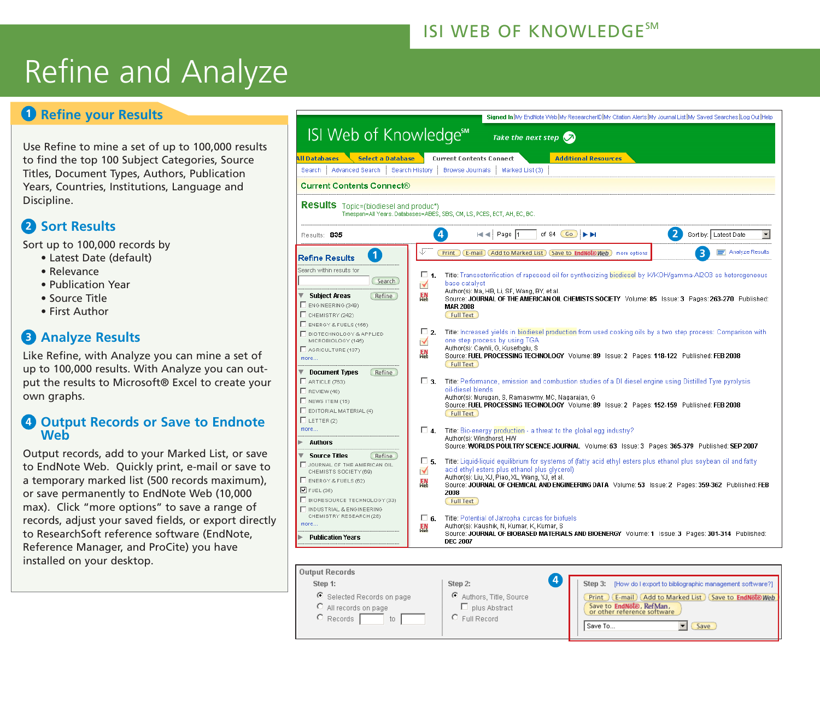### ISI WEB OF KNOWLEDGE<sup>SM</sup>

# Refine and Analyze

### **D** Refine your Results

Use Refine to mine a set of up to 100,000 results to find the top 100 Subject Categories, Source Titles, Document Types, Authors, Publication Years, Countries, Institutions, Language and Discipline.

### **Sort Results 2**

Sort up to 100,000 records by

- Latest Date (default)
- Relevance
- Publication Year
- Source Title
- First Author

### **Analyze Results 3**

Like Refine, with Analyze you can mine a set of up to 100,000 results. With Analyze you can output the results to Microsoft® Excel to create your own graphs.

### **Output Records or Save to Endnote 4 Web**

Output records, add to your Marked List, or save to EndNote Web. Quickly print, e-mail or save to a temporary marked list (500 records maximum), or save permanently to EndNote Web (10,000 max). Click "more options" to save a range of records, adjust your saved fields, or export directly to ResearchSoft reference software (EndNote, Reference Manager, and ProCite) you have installed on your desktop.



C Full Record

 $\circ$  Records  $\Gamma$ 

to

Save To.,

 $\boxed{\bullet}$  (Save)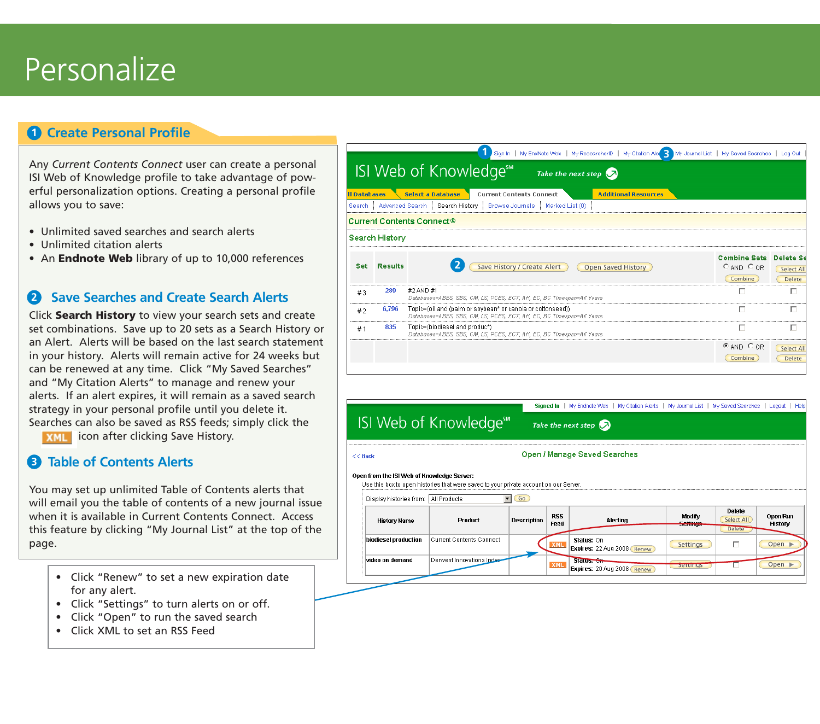# Personalize

### **Create Personal Profile**

Any *Current Contents Connect* user can create a personal ISI Web of Knowledge profile to take advantage of powerful personalization options. Creating a personal profile allows you to save:

- Unlimited saved searches and search alerts
- Unlimited citation alerts
- An **Endnote Web** library of up to 10,000 references

### **2** Save Searches and Create Search Alerts

Click **Search History** to view your search sets and create set combinations. Save up to 20 sets as a Search History or an Alert. Alerts will be based on the last search statement in your history. Alerts will remain active for 24 weeks but can be renewed at any time. Click "My Saved Searches" and "My Citation Alerts" to manage and renew your alerts. If an alert expires, it will remain as a saved search strategy in your personal profile until you delete it. Searches can also be saved as RSS feeds; simply click the **D**<br> **C**<br>
Any CSI Weeful<br>
allow<br> **a**<br> **12**<br> **12**<br> **12**<br> **12**<br> **12**<br> **12**<br> **12**<br> **12**<br> **12**<br> **12**<br> **12**<br> **12**<br> **12**<br> **12**<br> **12**<br> **12**<br> **12**<br> **12**<br> **12**<br> **12**<br> **12**<br> **12**<br> **12**<br> **12**<br> **12**<br> **13**<br> **13**<br> **13**<br> **13**<br> **13**<br> **14** 

**XML** icon after clicking Save History.

### **Table of Contents Alerts 3**

You may set up unlimited Table of Contents alerts that will email you the table of contents of a new journal issue when it is available in Current Contents Connect. Access this feature by clicking "My Journal List" at the top of the page.

- Click "Renew" to set a new expiration date for any alert.
- Click "Settings" to turn alerts on or off.
- Click "Open" to run the saved search
- Click XML to set an RSS Feed

|                                |                | Sign in   My EndNote Web   My ResearcherID   My Citation Ale   My Journal List   My Saved Searches   Log Out                                                        |                                                  |                                                 |
|--------------------------------|----------------|---------------------------------------------------------------------------------------------------------------------------------------------------------------------|--------------------------------------------------|-------------------------------------------------|
|                                |                | ISI Web of Knowledge <sup>™</sup><br>Take the next step $\bigcirc$                                                                                                  |                                                  |                                                 |
| <b>I</b> Databases<br>Search i |                | <b>Select a Database</b><br><b>Additional Resources</b><br><b>Current Contents Connect</b><br>Advanced Search   Search History   Browse Journals<br>Marked List (0) |                                                  |                                                 |
|                                |                | $\sf Current\,Contents$ $\sf Connect@$                                                                                                                              |                                                  |                                                 |
|                                | Search History |                                                                                                                                                                     |                                                  |                                                 |
| <b>Set</b>                     | <b>Results</b> | Save History / Create Alert<br>Open Saved History                                                                                                                   | <b>Combine Sets</b><br>$O$ AND $O$ OR<br>Combine | <b>Delete Se</b><br><b>Select All</b><br>Delete |
| #3                             | 289            | #2 AND #1<br>Databases=ABES, SBS, CM, LS, PCES, ECT, AH, EC, BC Timespan=All Years                                                                                  | п                                                | п                                               |
| #2                             | 6,796          | Topic=(oil and (palm or soybean* or canola or cottonseed))<br>Databases=ABES, SBS, CM, LS, PCES, ECT, AH, EC, BC Timespan=All Years                                 | г                                                | п                                               |
| #1                             | 835            | Topic=(biodiesel and produc*)<br>Databases=ABES, SBS, CM, LS, PCES, ECT, AH, EC, BC Timespan=All Years                                                              | п                                                | п                                               |
|                                |                |                                                                                                                                                                     | $E$ and $C$ or<br>Combine                        | Select All<br>Delete                            |

|                                                                                                                                     |                                                                    |                    | My Endnote Web   My Citation Alerts   My Journal List   My Saved Searches   Logout   Help<br><b>Signed In</b> |                                            |                    |                                       |                            |  |  |
|-------------------------------------------------------------------------------------------------------------------------------------|--------------------------------------------------------------------|--------------------|---------------------------------------------------------------------------------------------------------------|--------------------------------------------|--------------------|---------------------------------------|----------------------------|--|--|
|                                                                                                                                     | ISI Web of Knowledge <sup>®</sup><br>Take the next step $\bigcirc$ |                    |                                                                                                               |                                            |                    |                                       |                            |  |  |
| $<<$ Back                                                                                                                           | <b>Open / Manage Saved Searches</b>                                |                    |                                                                                                               |                                            |                    |                                       |                            |  |  |
| Open from the ISI Web of Knowledge Server:<br>Use this box to open histories that were saved to your private account on our Server. |                                                                    |                    |                                                                                                               |                                            |                    |                                       |                            |  |  |
| Go<br>Display histories from: All Products                                                                                          |                                                                    |                    |                                                                                                               |                                            |                    |                                       |                            |  |  |
| <b>History Name</b>                                                                                                                 | Product                                                            | <b>Description</b> | <b>RSS</b><br>Feed                                                                                            | Alerting                                   | Modify<br>Settings | Delete<br>Select All<br><b>Delete</b> | Open/Run<br>History        |  |  |
| biodiesel production                                                                                                                | <b>Current Contents Connect</b>                                    |                    | <b>XML</b>                                                                                                    | Status: On<br>Expires: 22 Aug 2008 (Renew) | Settings           | г                                     | Open                       |  |  |
| video on demand                                                                                                                     | Derwent Innovations Index-                                         |                    | <b>XML</b>                                                                                                    | Status. On<br>Expires: 20 Aug 2008 (Renew) | bettings           |                                       | Open $\blacktriangleright$ |  |  |
|                                                                                                                                     |                                                                    |                    |                                                                                                               |                                            |                    |                                       |                            |  |  |